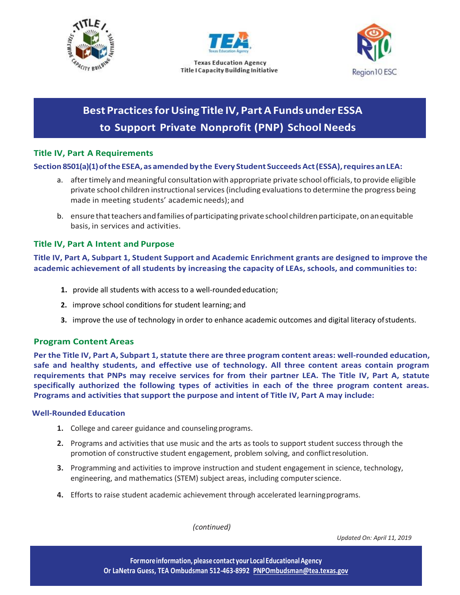



**Texas Education Agency Title I Capacity Building Initiative** 



# **BestPracticesforUsingTitle IV, PartAFundsunder ESSA to Support Private Nonprofit (PNP) School Needs**

# **Title IV, Part A Requirements**

## **Section8501(a)(1)ofthe ESEA,as amendedby the Every Student SucceedsAct(ESSA),requires anLEA:**

- a. after timely and meaningful consultation with appropriate private school officials, to provide eligible private school children instructional services (including evaluations to determine the progress being made in meeting students' academic needs); and
- b. ensure that teachers and families of participating private school children participate, on an equitable basis, in services and activities.

# **Title IV, Part A Intent and Purpose**

# **Title IV, Part A, Subpart 1, Student Support and Academic Enrichment grants are designed to improve the academic achievement of all students by increasing the capacity of LEAs, schools, and communities to:**

- **1.** provide all students with access to a well-roundededucation;
- **2.** improve school conditions for student learning; and
- **3.** improve the use of technology in order to enhance academic outcomes and digital literacy ofstudents.

## **Program Content Areas**

Per the Title IV, Part A, Subpart 1, statute there are three program content areas: well-rounded education, **safe and healthy students, and effective use of technology. All three content areas contain program requirements that PNPs may receive services for from their partner LEA. The Title IV, Part A, statute specifically authorized the following types of activities in each of the three program content areas. Programs and activities that support the purpose and intent of Title IV, Part A may include:**

#### **Well-Rounded Education**

- **1.** College and career guidance and counseling programs.
- **2.** Programs and activities that use music and the arts as tools to support student success through the promotion of constructive student engagement, problem solving, and conflict resolution.
- **3.** Programming and activities to improve instruction and student engagement in science, technology, engineering, and mathematics (STEM) subject areas, including computerscience.
- **4.** Efforts to raise student academic achievement through accelerated learningprograms.

*(continued)*

*Updated On: April 11, 2019*

**Formoreinformation, pleasecontact your Local EducationalAgency Or LaNetra Guess, TEA Ombudsman 512-463-8992 [PNPOmbudsman@tea.texas.gov](mailto:pnpombudsman@tea.texas.gov)**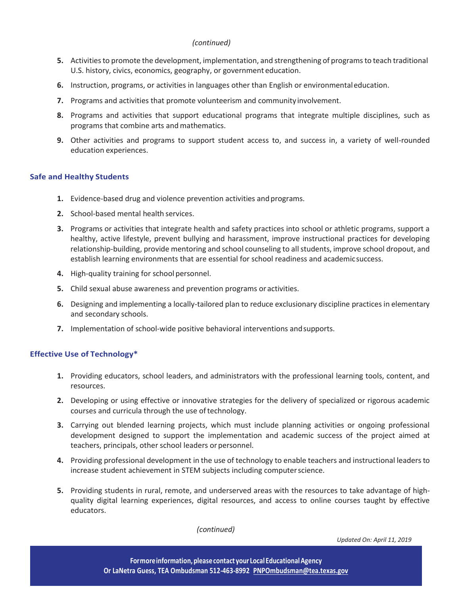#### *(continued)*

- **5.** Activities to promote the development, implementation, and strengthening of programs to teach traditional U.S. history, civics, economics, geography, or government education.
- **6.** Instruction, programs, or activities in languages other than English or environmentaleducation.
- **7.** Programs and activities that promote volunteerism and community involvement.
- **8.** Programs and activities that support educational programs that integrate multiple disciplines, such as programs that combine arts and mathematics.
- **9.** Other activities and programs to support student access to, and success in, a variety of well-rounded education experiences.

#### **Safe and Healthy Students**

- 1. Evidence-based drug and violence prevention activities and programs.
- **2.** School-based mental health services.
- **3.** Programs or activities that integrate health and safety practices into school or athletic programs, support a healthy, active lifestyle, prevent bullying and harassment, improve instructional practices for developing relationship-building, provide mentoring and school counseling to all students, improve school dropout, and establish learning environments that are essential for school readiness and academicsuccess.
- **4.** High-quality training for school personnel.
- **5.** Child sexual abuse awareness and prevention programs or activities.
- **6.** Designing and implementing a locally-tailored plan to reduce exclusionary discipline practices in elementary and secondary schools.
- **7.** Implementation of school-wide positive behavioral interventions andsupports.

## **Effective Use of Technology\***

- **1.** Providing educators, school leaders, and administrators with the professional learning tools, content, and resources.
- **2.** Developing or using effective or innovative strategies for the delivery of specialized or rigorous academic courses and curricula through the use oftechnology.
- **3.** Carrying out blended learning projects, which must include planning activities or ongoing professional development designed to support the implementation and academic success of the project aimed at teachers, principals, other school leaders or personnel.
- **4.** Providing professional development in the use of technology to enable teachers and instructional leaders to increase student achievement in STEM subjects including computerscience.
- **5.** Providing students in rural, remote, and underserved areas with the resources to take advantage of highquality digital learning experiences, digital resources, and access to online courses taught by effective educators.

*(continued)*

*Updated On: April 11, 2019*

**Formoreinformation, pleasecontact your Local EducationalAgency Or LaNetra Guess, TEA Ombudsman 512-463-8992 [PNPOmbudsman@tea.texas.gov](mailto:pnpombudsman@tea.texas.gov)**